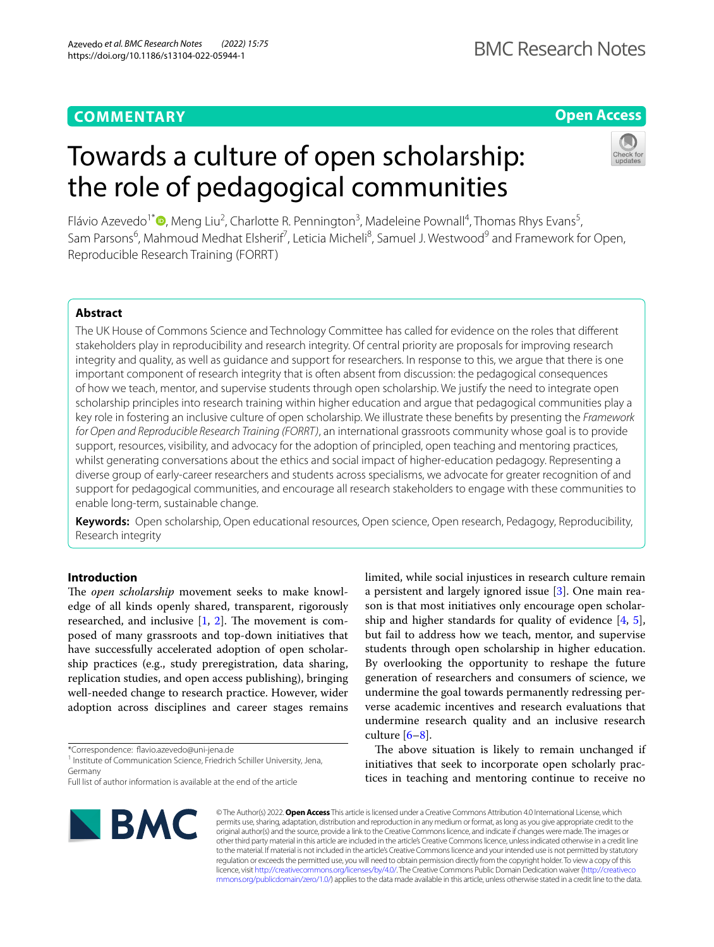# **COMMENTARY**

# **Open Access**

# Towards a culture of open scholarship: the role of pedagogical communities



Flávio Azevedo<sup>1[\\*](http://orcid.org/0000-0001-9000-8513)</sup>®, Meng Liu<sup>2</sup>, Charlotte R. Pennington<sup>3</sup>, Madeleine Pownall<sup>4</sup>, Thomas Rhys Evans<sup>5</sup>, Sam Parsons<sup>6</sup>, Mahmoud Medhat Elsherif<sup>7</sup>, Leticia Micheli<sup>8</sup>, Samuel J. Westwood<sup>9</sup> and Framework for Open, Reproducible Research Training (FORRT)

# **Abstract**

The UK House of Commons Science and Technology Committee has called for evidence on the roles that diferent stakeholders play in reproducibility and research integrity. Of central priority are proposals for improving research integrity and quality, as well as guidance and support for researchers. In response to this, we argue that there is one important component of research integrity that is often absent from discussion: the pedagogical consequences of how we teach, mentor, and supervise students through open scholarship. We justify the need to integrate open scholarship principles into research training within higher education and argue that pedagogical communities play a key role in fostering an inclusive culture of open scholarship. We illustrate these benefts by presenting the *Framework for Open and Reproducible Research Training (FORRT)*, an international grassroots community whose goal is to provide support, resources, visibility, and advocacy for the adoption of principled, open teaching and mentoring practices, whilst generating conversations about the ethics and social impact of higher-education pedagogy. Representing a diverse group of early-career researchers and students across specialisms, we advocate for greater recognition of and support for pedagogical communities, and encourage all research stakeholders to engage with these communities to enable long-term, sustainable change.

**Keywords:** Open scholarship, Open educational resources, Open science, Open research, Pedagogy, Reproducibility, Research integrity

# **Introduction**

The open scholarship movement seeks to make knowledge of all kinds openly shared, transparent, rigorously researched, and inclusive  $[1, 2]$  $[1, 2]$  $[1, 2]$ . The movement is composed of many grassroots and top-down initiatives that have successfully accelerated adoption of open scholarship practices (e.g., study preregistration, data sharing, replication studies, and open access publishing), bringing well-needed change to research practice. However, wider adoption across disciplines and career stages remains

\*Correspondence: favio.azevedo@uni-jena.de

<sup>1</sup> Institute of Communication Science, Friedrich Schiller University, Jena, Germany

a persistent and largely ignored issue [\[3](#page-4-2)]. One main reason is that most initiatives only encourage open scholarship and higher standards for quality of evidence  $[4, 5]$  $[4, 5]$  $[4, 5]$  $[4, 5]$  $[4, 5]$ , but fail to address how we teach, mentor, and supervise students through open scholarship in higher education. By overlooking the opportunity to reshape the future generation of researchers and consumers of science, we undermine the goal towards permanently redressing perverse academic incentives and research evaluations that undermine research quality and an inclusive research culture [\[6](#page-4-5)[–8](#page-4-6)].

limited, while social injustices in research culture remain

The above situation is likely to remain unchanged if initiatives that seek to incorporate open scholarly practices in teaching and mentoring continue to receive no



© The Author(s) 2022. **Open Access** This article is licensed under a Creative Commons Attribution 4.0 International License, which permits use, sharing, adaptation, distribution and reproduction in any medium or format, as long as you give appropriate credit to the original author(s) and the source, provide a link to the Creative Commons licence, and indicate if changes were made. The images or other third party material in this article are included in the article's Creative Commons licence, unless indicated otherwise in a credit line to the material. If material is not included in the article's Creative Commons licence and your intended use is not permitted by statutory regulation or exceeds the permitted use, you will need to obtain permission directly from the copyright holder. To view a copy of this licence, visit [http://creativecommons.org/licenses/by/4.0/.](http://creativecommons.org/licenses/by/4.0/) The Creative Commons Public Domain Dedication waiver ([http://creativeco](http://creativecommons.org/publicdomain/zero/1.0/) [mmons.org/publicdomain/zero/1.0/](http://creativecommons.org/publicdomain/zero/1.0/)) applies to the data made available in this article, unless otherwise stated in a credit line to the data.

Full list of author information is available at the end of the article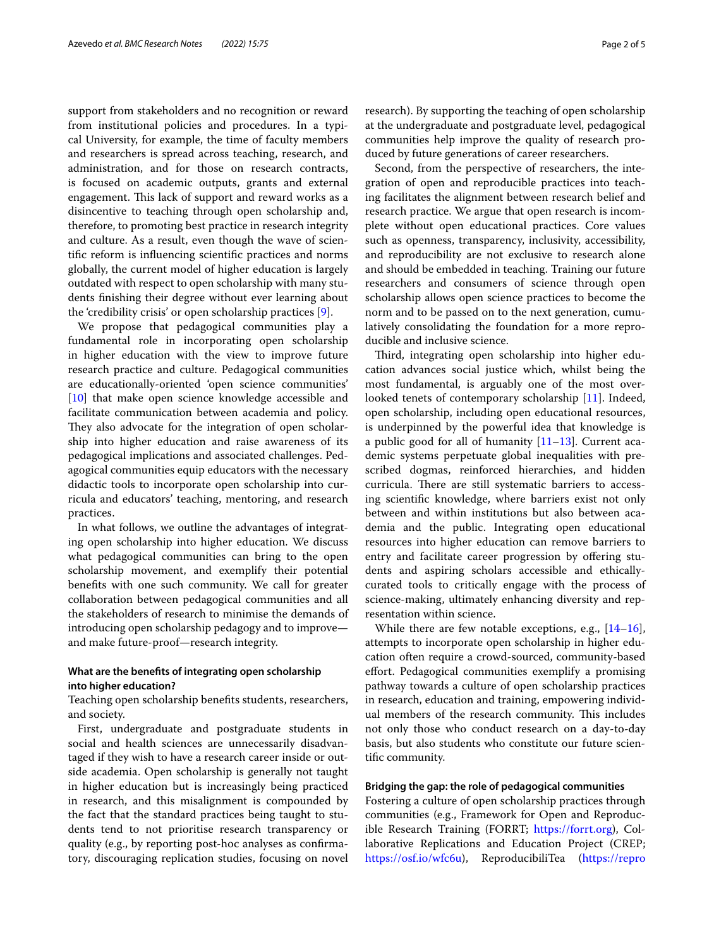support from stakeholders and no recognition or reward from institutional policies and procedures. In a typical University, for example, the time of faculty members and researchers is spread across teaching, research, and administration, and for those on research contracts, is focused on academic outputs, grants and external engagement. This lack of support and reward works as a disincentive to teaching through open scholarship and, therefore, to promoting best practice in research integrity and culture. As a result, even though the wave of scientifc reform is infuencing scientifc practices and norms globally, the current model of higher education is largely outdated with respect to open scholarship with many students fnishing their degree without ever learning about the 'credibility crisis' or open scholarship practices [[9\]](#page-4-7).

We propose that pedagogical communities play a fundamental role in incorporating open scholarship in higher education with the view to improve future research practice and culture. Pedagogical communities are educationally-oriented 'open science communities' [[10\]](#page-4-8) that make open science knowledge accessible and facilitate communication between academia and policy. They also advocate for the integration of open scholarship into higher education and raise awareness of its pedagogical implications and associated challenges. Pedagogical communities equip educators with the necessary didactic tools to incorporate open scholarship into curricula and educators' teaching, mentoring, and research practices.

In what follows, we outline the advantages of integrating open scholarship into higher education. We discuss what pedagogical communities can bring to the open scholarship movement, and exemplify their potential benefts with one such community. We call for greater collaboration between pedagogical communities and all the stakeholders of research to minimise the demands of introducing open scholarship pedagogy and to improve and make future-proof—research integrity.

# **What are the benefts of integrating open scholarship into higher education?**

Teaching open scholarship benefts students, researchers, and society.

First, undergraduate and postgraduate students in social and health sciences are unnecessarily disadvantaged if they wish to have a research career inside or outside academia. Open scholarship is generally not taught in higher education but is increasingly being practiced in research, and this misalignment is compounded by the fact that the standard practices being taught to students tend to not prioritise research transparency or quality (e.g., by reporting post-hoc analyses as confrmatory, discouraging replication studies, focusing on novel research). By supporting the teaching of open scholarship at the undergraduate and postgraduate level, pedagogical communities help improve the quality of research produced by future generations of career researchers.

Second, from the perspective of researchers, the integration of open and reproducible practices into teaching facilitates the alignment between research belief and research practice. We argue that open research is incomplete without open educational practices. Core values such as openness, transparency, inclusivity, accessibility, and reproducibility are not exclusive to research alone and should be embedded in teaching. Training our future researchers and consumers of science through open scholarship allows open science practices to become the norm and to be passed on to the next generation, cumulatively consolidating the foundation for a more reproducible and inclusive science.

Third, integrating open scholarship into higher education advances social justice which, whilst being the most fundamental, is arguably one of the most overlooked tenets of contemporary scholarship [\[11](#page-4-9)]. Indeed, open scholarship, including open educational resources, is underpinned by the powerful idea that knowledge is a public good for all of humanity [\[11–](#page-4-9)[13\]](#page-4-10). Current academic systems perpetuate global inequalities with prescribed dogmas, reinforced hierarchies, and hidden curricula. There are still systematic barriers to accessing scientifc knowledge, where barriers exist not only between and within institutions but also between academia and the public. Integrating open educational resources into higher education can remove barriers to entry and facilitate career progression by offering students and aspiring scholars accessible and ethicallycurated tools to critically engage with the process of science-making, ultimately enhancing diversity and representation within science.

While there are few notable exceptions, e.g.,  $[14-16]$  $[14-16]$  $[14-16]$ , attempts to incorporate open scholarship in higher education often require a crowd-sourced, community-based efort. Pedagogical communities exemplify a promising pathway towards a culture of open scholarship practices in research, education and training, empowering individual members of the research community. This includes not only those who conduct research on a day-to-day basis, but also students who constitute our future scientifc community.

## **Bridging the gap: the role of pedagogical communities**

Fostering a culture of open scholarship practices through communities (e.g., Framework for Open and Reproducible Research Training (FORRT; [https://forrt.org\)](https://forrt.org), Collaborative Replications and Education Project (CREP; <https://osf.io/wfc6u>), ReproducibiliTea ([https://repro](https://reproducibilitea.org)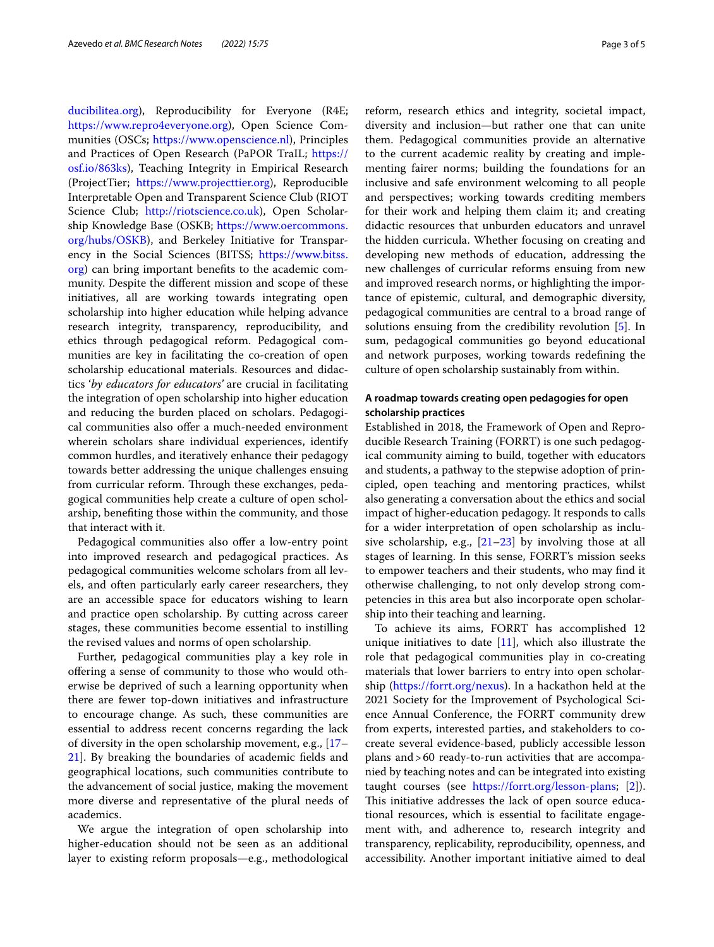[ducibilitea.org\)](https://reproducibilitea.org), Reproducibility for Everyone (R4E; <https://www.repro4everyone.org>), Open Science Communities (OSCs; <https://www.openscience.nl>), Principles and Practices of Open Research (PaPOR TraIL; [https://](https://osf.io/863ks) [osf.io/863ks\)](https://osf.io/863ks), Teaching Integrity in Empirical Research (ProjectTier; <https://www.projecttier.org>), Reproducible Interpretable Open and Transparent Science Club (RIOT Science Club; <http://riotscience.co.uk>), Open Scholarship Knowledge Base (OSKB; [https://www.oercommons.](https://www.oercommons.org/hubs/OSKB) [org/hubs/OSKB](https://www.oercommons.org/hubs/OSKB)), and Berkeley Initiative for Transparency in the Social Sciences (BITSS; [https://www.bitss.](https://www.bitss.org) [org](https://www.bitss.org)) can bring important benefts to the academic community. Despite the diferent mission and scope of these initiatives, all are working towards integrating open scholarship into higher education while helping advance research integrity, transparency, reproducibility, and ethics through pedagogical reform. Pedagogical communities are key in facilitating the co-creation of open scholarship educational materials. Resources and didactics '*by educators for educators'* are crucial in facilitating the integration of open scholarship into higher education and reducing the burden placed on scholars. Pedagogical communities also offer a much-needed environment wherein scholars share individual experiences, identify common hurdles, and iteratively enhance their pedagogy towards better addressing the unique challenges ensuing from curricular reform. Through these exchanges, pedagogical communities help create a culture of open scholarship, benefting those within the community, and those that interact with it.

Pedagogical communities also offer a low-entry point into improved research and pedagogical practices. As pedagogical communities welcome scholars from all levels, and often particularly early career researchers, they are an accessible space for educators wishing to learn and practice open scholarship. By cutting across career stages, these communities become essential to instilling the revised values and norms of open scholarship.

Further, pedagogical communities play a key role in ofering a sense of community to those who would otherwise be deprived of such a learning opportunity when there are fewer top-down initiatives and infrastructure to encourage change. As such, these communities are essential to address recent concerns regarding the lack of diversity in the open scholarship movement, e.g., [[17–](#page-4-13) [21\]](#page-4-14). By breaking the boundaries of academic felds and geographical locations, such communities contribute to the advancement of social justice, making the movement more diverse and representative of the plural needs of academics.

We argue the integration of open scholarship into higher-education should not be seen as an additional layer to existing reform proposals—e.g., methodological reform, research ethics and integrity, societal impact, diversity and inclusion—but rather one that can unite them. Pedagogical communities provide an alternative to the current academic reality by creating and implementing fairer norms; building the foundations for an inclusive and safe environment welcoming to all people and perspectives; working towards crediting members for their work and helping them claim it; and creating didactic resources that unburden educators and unravel the hidden curricula. Whether focusing on creating and developing new methods of education, addressing the new challenges of curricular reforms ensuing from new and improved research norms, or highlighting the importance of epistemic, cultural, and demographic diversity, pedagogical communities are central to a broad range of solutions ensuing from the credibility revolution [[5\]](#page-4-4). In sum, pedagogical communities go beyond educational and network purposes, working towards redefning the culture of open scholarship sustainably from within.

# **A roadmap towards creating open pedagogies for open scholarship practices**

Established in 2018, the Framework of Open and Reproducible Research Training (FORRT) is one such pedagogical community aiming to build, together with educators and students, a pathway to the stepwise adoption of principled, open teaching and mentoring practices, whilst also generating a conversation about the ethics and social impact of higher-education pedagogy. It responds to calls for a wider interpretation of open scholarship as inclusive scholarship, e.g., [\[21](#page-4-14)[–23](#page-4-15)] by involving those at all stages of learning. In this sense, FORRT's mission seeks to empower teachers and their students, who may fnd it otherwise challenging, to not only develop strong competencies in this area but also incorporate open scholarship into their teaching and learning.

To achieve its aims, FORRT has accomplished 12 unique initiatives to date  $[11]$  $[11]$  $[11]$ , which also illustrate the role that pedagogical communities play in co-creating materials that lower barriers to entry into open scholarship [\(https://forrt.org/nexus\)](https://forrt.org/nexus). In a hackathon held at the 2021 Society for the Improvement of Psychological Science Annual Conference, the FORRT community drew from experts, interested parties, and stakeholders to cocreate several evidence-based, publicly accessible lesson plans and>60 ready-to-run activities that are accompanied by teaching notes and can be integrated into existing taught courses (see <https://forrt.org/lesson-plans>; [\[2\]](#page-4-1)). This initiative addresses the lack of open source educational resources, which is essential to facilitate engagement with, and adherence to, research integrity and transparency, replicability, reproducibility, openness, and accessibility. Another important initiative aimed to deal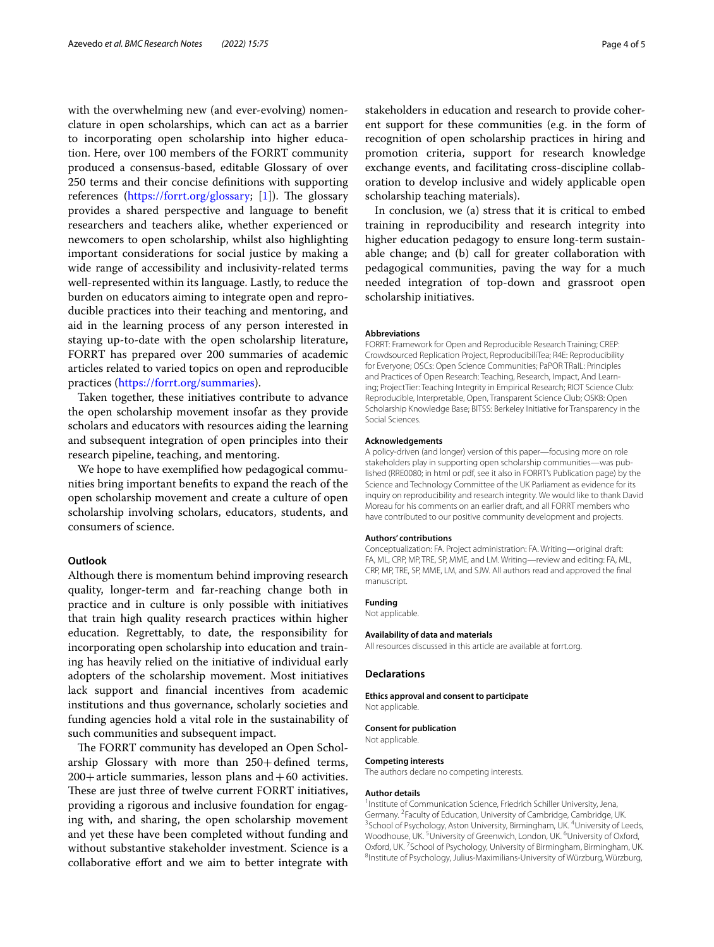with the overwhelming new (and ever-evolving) nomenclature in open scholarships, which can act as a barrier to incorporating open scholarship into higher education. Here, over 100 members of the FORRT community produced a consensus-based, editable Glossary of over 250 terms and their concise defnitions with supporting references [\(https://forrt.org/glossary;](https://forrt.org/glossary) [[1\]](#page-4-0)). The glossary provides a shared perspective and language to beneft researchers and teachers alike, whether experienced or newcomers to open scholarship, whilst also highlighting important considerations for social justice by making a wide range of accessibility and inclusivity-related terms well-represented within its language. Lastly, to reduce the burden on educators aiming to integrate open and reproducible practices into their teaching and mentoring, and aid in the learning process of any person interested in staying up-to-date with the open scholarship literature, FORRT has prepared over 200 summaries of academic articles related to varied topics on open and reproducible practices (<https://forrt.org/summaries>).

Taken together, these initiatives contribute to advance the open scholarship movement insofar as they provide scholars and educators with resources aiding the learning and subsequent integration of open principles into their research pipeline, teaching, and mentoring.

We hope to have exemplifed how pedagogical communities bring important benefts to expand the reach of the open scholarship movement and create a culture of open scholarship involving scholars, educators, students, and consumers of science.

### **Outlook**

Although there is momentum behind improving research quality, longer-term and far-reaching change both in practice and in culture is only possible with initiatives that train high quality research practices within higher education. Regrettably, to date, the responsibility for incorporating open scholarship into education and training has heavily relied on the initiative of individual early adopters of the scholarship movement. Most initiatives lack support and fnancial incentives from academic institutions and thus governance, scholarly societies and funding agencies hold a vital role in the sustainability of such communities and subsequent impact.

The FORRT community has developed an Open Scholarship Glossary with more than 250+defned terms,  $200+$  article summaries, lesson plans and  $+60$  activities. These are just three of twelve current FORRT initiatives, providing a rigorous and inclusive foundation for engaging with, and sharing, the open scholarship movement and yet these have been completed without funding and without substantive stakeholder investment. Science is a collaborative efort and we aim to better integrate with stakeholders in education and research to provide coherent support for these communities (e.g. in the form of recognition of open scholarship practices in hiring and promotion criteria, support for research knowledge exchange events, and facilitating cross-discipline collaboration to develop inclusive and widely applicable open scholarship teaching materials).

In conclusion, we (a) stress that it is critical to embed training in reproducibility and research integrity into higher education pedagogy to ensure long-term sustainable change; and (b) call for greater collaboration with pedagogical communities, paving the way for a much needed integration of top-down and grassroot open scholarship initiatives.

#### **Abbreviations**

FORRT: Framework for Open and Reproducible Research Training; CREP: Crowdsourced Replication Project, ReproducibiliTea; R4E: Reproducibility for Everyone; OSCs: Open Science Communities; PaPOR TRaIL: Principles and Practices of Open Research: Teaching, Research, Impact, And Learning; ProjectTier: Teaching Integrity in Empirical Research; RIOT Science Club: Reproducible, Interpretable, Open, Transparent Science Club; OSKB: Open Scholarship Knowledge Base; BITSS: Berkeley Initiative for Transparency in the Social Sciences.

#### **Acknowledgements**

A policy-driven (and longer) version of this paper—focusing more on role stakeholders play in supporting open scholarship communities—was published (RRE0080; in html or pdf, see it also in FORRT's Publication page) by the Science and Technology Committee of the UK Parliament as evidence for its inquiry on reproducibility and research integrity. We would like to thank David Moreau for his comments on an earlier draft, and all FORRT members who have contributed to our positive community development and projects.

#### **Authors' contributions**

Conceptualization: FA. Project administration: FA. Writing—original draft: FA, ML, CRP, MP, TRE, SP, MME, and LM. Writing—review and editing: FA, ML, CRP, MP, TRE, SP, MME, LM, and SJW. All authors read and approved the fnal manuscript.

## **Funding**

Not applicable.

#### **Availability of data and materials**

All resources discussed in this article are available at forrt.org.

#### **Declarations**

#### **Ethics approval and consent to participate** Not applicable.

**Consent for publication**

Not applicable.

#### **Competing interests**

The authors declare no competing interests.

#### **Author details**

<sup>1</sup> Institute of Communication Science, Friedrich Schiller University, Jena, Germany. <sup>2</sup> Faculty of Education, University of Cambridge, Cambridge, UK.<br><sup>3</sup> School of Psychology, Aston University, Birmingham, UK, <sup>4</sup> University of Le School of Psychology, Aston University, Birmingham, UK. <sup>4</sup>University of Leeds, Woodhouse, UK.<sup>5</sup> University of Greenwich, London, UK.<sup>6</sup> University of Oxford, Oxford, UK. <sup>7</sup>School of Psychology, University of Birmingham, Birmingham, UK.<br><sup>8</sup>Institute of Psychology, Julius-Maximilians-University of Würzburg Würzburg <sup>8</sup>Institute of Psychology, Julius-Maximilians-University of Würzburg, Würzburg,